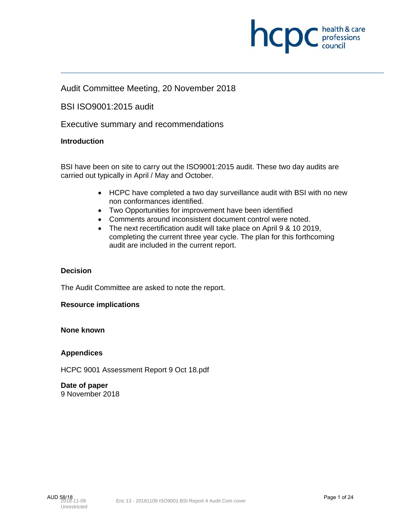

#### Audit Committee Meeting, 20 November 2018

BSI ISO9001:2015 audit

Executive summary and recommendations

#### **Introduction**

BSI have been on site to carry out the ISO9001:2015 audit. These two day audits are carried out typically in April / May and October.

- HCPC have completed a two day surveillance audit with BSI with no new non conformances identified.
- Two Opportunities for improvement have been identified
- Comments around inconsistent document control were noted.
- The next recertification audit will take place on April 9 & 10 2019, completing the current three year cycle. The plan for this forthcoming audit are included in the current report.

#### **Decision**

The Audit Committee are asked to note the report.

#### **Resource implications**

**None known**

#### **Appendices**

HCPC 9001 Assessment Report 9 Oct 18.pdf

**Date of paper**  9 November 2018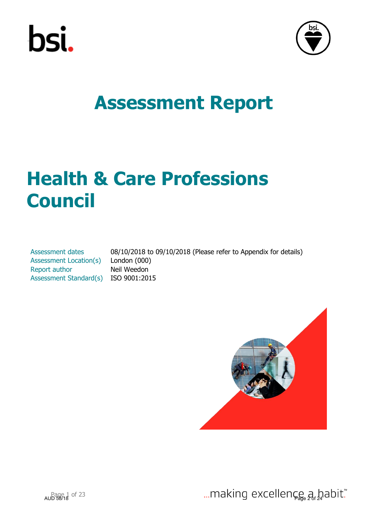



## **Health & Care Professions Council**

Assessment dates 08/10/2018 to 09/10/2018 (Please refer to Appendix for details) Assessment Location(s) London (000) Report author Neil Weedon Assessment Standard(s) ISO 9001:2015

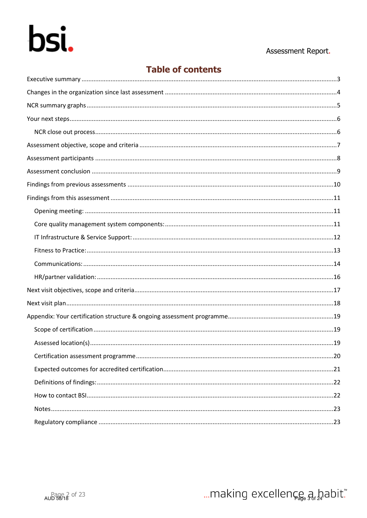# bsi.

#### Assessment Report.

#### **Table of contents**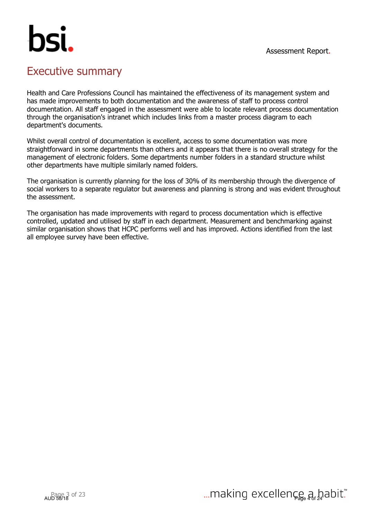## hsi.

### Executive summary

Health and Care Professions Council has maintained the effectiveness of its management system and has made improvements to both documentation and the awareness of staff to process control documentation. All staff engaged in the assessment were able to locate relevant process documentation through the organisation's intranet which includes links from a master process diagram to each department's documents.

Whilst overall control of documentation is excellent, access to some documentation was more straightforward in some departments than others and it appears that there is no overall strategy for the management of electronic folders. Some departments number folders in a standard structure whilst other departments have multiple similarly named folders.

The organisation is currently planning for the loss of 30% of its membership through the divergence of social workers to a separate regulator but awareness and planning is strong and was evident throughout the assessment.

The organisation has made improvements with regard to process documentation which is effective controlled, updated and utilised by staff in each department. Measurement and benchmarking against similar organisation shows that HCPC performs well and has improved. Actions identified from the last all employee survey have been effective.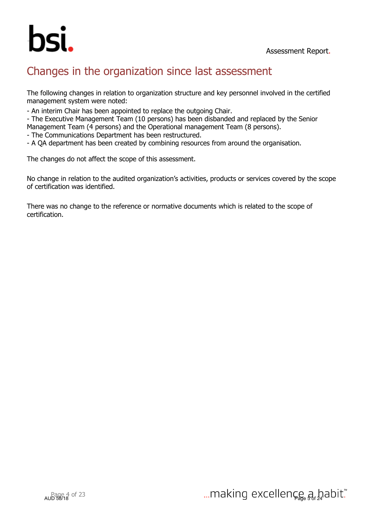

## Changes in the organization since last assessment

The following changes in relation to organization structure and key personnel involved in the certified management system were noted:

- An interim Chair has been appointed to replace the outgoing Chair.

- The Executive Management Team (10 persons) has been disbanded and replaced by the Senior Management Team (4 persons) and the Operational management Team (8 persons).

- The Communications Department has been restructured.

- A QA department has been created by combining resources from around the organisation.

The changes do not affect the scope of this assessment.

No change in relation to the audited organization's activities, products or services covered by the scope of certification was identified.

There was no change to the reference or normative documents which is related to the scope of certification.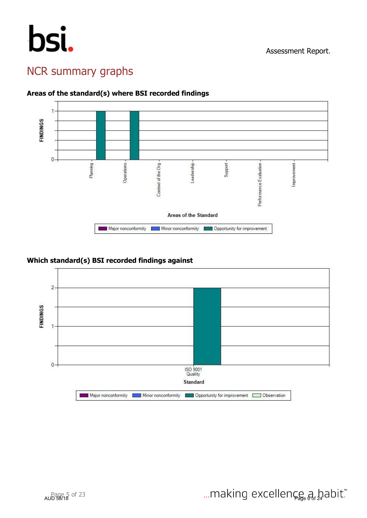## bsi.

## NCR summary graphs



#### **Areas of the standard(s) where BSI recorded findings**

#### **Which standard(s) BSI recorded findings against**

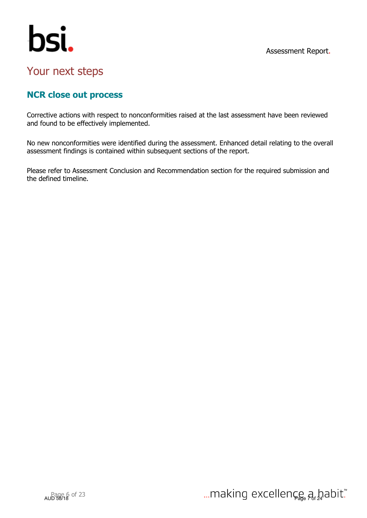

## bsi.

## Your next steps

### **NCR close out process**

Corrective actions with respect to nonconformities raised at the last assessment have been reviewed and found to be effectively implemented.

No new nonconformities were identified during the assessment. Enhanced detail relating to the overall assessment findings is contained within subsequent sections of the report.

Please refer to Assessment Conclusion and Recommendation section for the required submission and the defined timeline.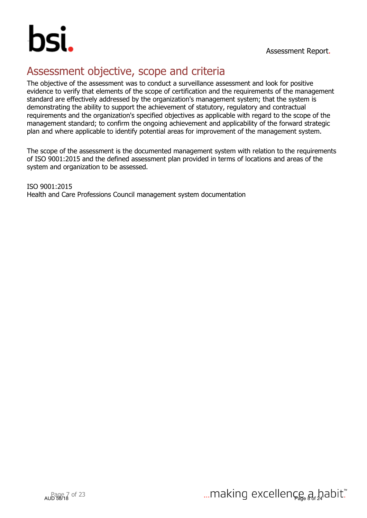

## Assessment objective, scope and criteria

The objective of the assessment was to conduct a surveillance assessment and look for positive evidence to verify that elements of the scope of certification and the requirements of the management standard are effectively addressed by the organization's management system; that the system is demonstrating the ability to support the achievement of statutory, regulatory and contractual requirements and the organization's specified objectives as applicable with regard to the scope of the management standard; to confirm the ongoing achievement and applicability of the forward strategic plan and where applicable to identify potential areas for improvement of the management system.

The scope of the assessment is the documented management system with relation to the requirements of ISO 9001:2015 and the defined assessment plan provided in terms of locations and areas of the system and organization to be assessed.

ISO 9001:2015 Health and Care Professions Council management system documentation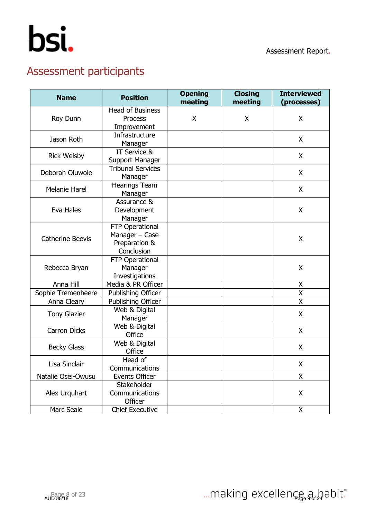## Assessment participants

| <b>Name</b>                                     | <b>Position</b>                                                  |  | <b>Closing</b><br>meeting | <b>Interviewed</b><br>(processes) |
|-------------------------------------------------|------------------------------------------------------------------|--|---------------------------|-----------------------------------|
| Roy Dunn                                        | <b>Head of Business</b><br><b>Process</b><br>Improvement         |  | X                         | X                                 |
| Jason Roth                                      | Infrastructure<br>Manager                                        |  |                           | X                                 |
| <b>Rick Welsby</b>                              | IT Service &<br>Support Manager                                  |  |                           | X                                 |
| Deborah Oluwole                                 | <b>Tribunal Services</b><br>Manager                              |  |                           | X                                 |
| <b>Melanie Harel</b>                            | <b>Hearings Team</b><br>Manager                                  |  |                           | X                                 |
| Eva Hales                                       | Assurance &<br>Development<br>Manager                            |  |                           | X                                 |
| <b>Catherine Beevis</b>                         | FTP Operational<br>Manager - Case<br>Preparation &<br>Conclusion |  |                           | X                                 |
| Rebecca Bryan                                   | FTP Operational<br>Manager<br>Investigations                     |  |                           | X                                 |
| Anna Hill                                       | Media & PR Officer                                               |  |                           | X                                 |
| Sophie Tremenheere                              | <b>Publishing Officer</b>                                        |  |                           | Χ                                 |
| Anna Cleary                                     | Publishing Officer                                               |  |                           | Χ                                 |
| Web & Digital<br><b>Tony Glazier</b><br>Manager |                                                                  |  |                           | X                                 |
| <b>Carron Dicks</b>                             | Web & Digital<br>Office                                          |  |                           | X                                 |
| <b>Becky Glass</b>                              | Web & Digital<br>Office                                          |  |                           | X                                 |
| Head of<br>Lisa Sinclair<br>Communications      |                                                                  |  |                           | X                                 |
| Natalie Osei-Owusu                              | Events Officer                                                   |  |                           | X                                 |
| Alex Urguhart                                   | Stakeholder<br>Communications<br>Officer                         |  |                           | X                                 |
| Marc Seale                                      | <b>Chief Executive</b>                                           |  |                           | X                                 |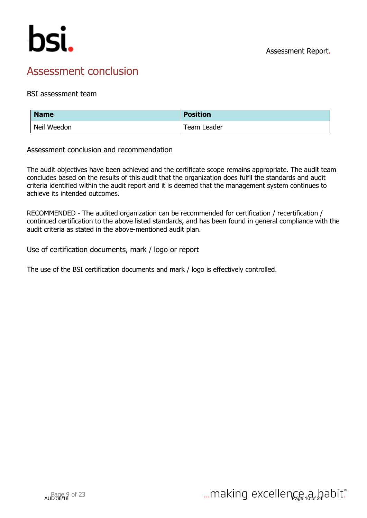

## Assessment conclusion

#### BSI assessment team

| <b>Name</b> | <b>Position</b> |
|-------------|-----------------|
| Neil Weedon | Team Leader     |

Assessment conclusion and recommendation

The audit objectives have been achieved and the certificate scope remains appropriate. The audit team concludes based on the results of this audit that the organization does fulfil the standards and audit criteria identified within the audit report and it is deemed that the management system continues to achieve its intended outcomes.

RECOMMENDED - The audited organization can be recommended for certification / recertification / continued certification to the above listed standards, and has been found in general compliance with the audit criteria as stated in the above-mentioned audit plan.

Use of certification documents, mark / logo or report

The use of the BSI certification documents and mark / logo is effectively controlled.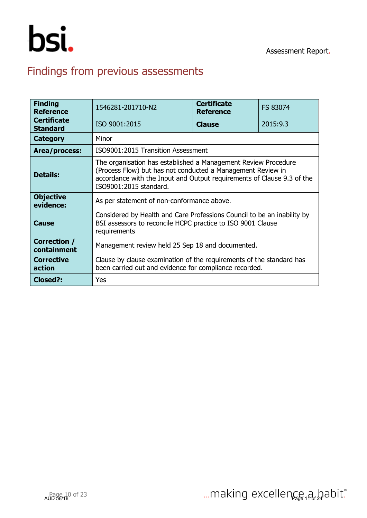

## Findings from previous assessments

| <b>Finding</b><br><b>Reference</b>    | <b>Certificate</b><br>1546281-201710-N2<br>FS 83074<br><b>Reference</b>                                                                                                                                                           |  |  |  |  |  |  |  |
|---------------------------------------|-----------------------------------------------------------------------------------------------------------------------------------------------------------------------------------------------------------------------------------|--|--|--|--|--|--|--|
| <b>Certificate</b><br><b>Standard</b> | ISO 9001:2015<br>2015:9.3<br><b>Clause</b>                                                                                                                                                                                        |  |  |  |  |  |  |  |
| <b>Category</b>                       | Minor                                                                                                                                                                                                                             |  |  |  |  |  |  |  |
| Area/process:                         | ISO9001:2015 Transition Assessment                                                                                                                                                                                                |  |  |  |  |  |  |  |
| <b>Details:</b>                       | The organisation has established a Management Review Procedure<br>(Process Flow) but has not conducted a Management Review in<br>accordance with the Input and Output requirements of Clause 9.3 of the<br>ISO9001:2015 standard. |  |  |  |  |  |  |  |
| <b>Objective</b><br>evidence:         | As per statement of non-conformance above.                                                                                                                                                                                        |  |  |  |  |  |  |  |
| <b>Cause</b>                          | Considered by Health and Care Professions Council to be an inability by<br>BSI assessors to reconcile HCPC practice to ISO 9001 Clause<br>requirements                                                                            |  |  |  |  |  |  |  |
| Correction /<br>containment           | Management review held 25 Sep 18 and documented.                                                                                                                                                                                  |  |  |  |  |  |  |  |
| <b>Corrective</b><br>action           | Clause by clause examination of the requirements of the standard has<br>been carried out and evidence for compliance recorded.                                                                                                    |  |  |  |  |  |  |  |
| Closed?:                              | Yes                                                                                                                                                                                                                               |  |  |  |  |  |  |  |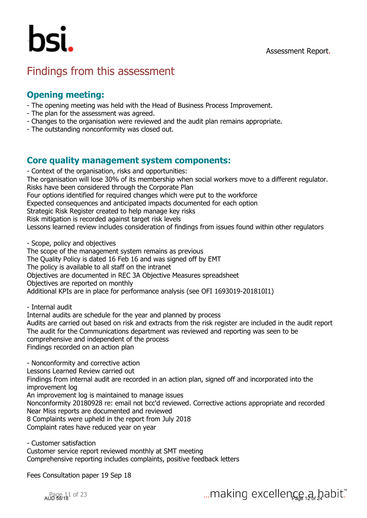

### Findings from this assessment

#### **Opening meeting:**

- The opening meeting was held with the Head of Business Process Improvement.
- The plan for the assessment was agreed.
- Changes to the organisation were reviewed and the audit plan remains appropriate.
- The outstanding nonconformity was closed out.

#### **Core quality management system components:**

- Context of the organisation, risks and opportunities: The organisation will lose 30% of its membership when social workers move to a different regulator. Risks have been considered through the Corporate Plan Four options identified for required changes which were put to the workforce Expected consequences and anticipated impacts documented for each option Strategic Risk Register created to help manage key risks Risk mitigation is recorded against target risk levels Lessons learned review includes consideration of findings from issues found within other regulators

- Scope, policy and objectives

The scope of the management system remains as previous

The Quality Policy is dated 16 Feb 16 and was signed off by EMT

The policy is available to all staff on the intranet

Objectives are documented in REC 3A Objective Measures spreadsheet

Objectives are reported on monthly

Additional KPIs are in place for performance analysis (see OFI 1693019-201810I1)

- Internal audit

Internal audits are schedule for the year and planned by process Audits are carried out based on risk and extracts from the risk register are included in the audit report The audit for the Communications department was reviewed and reporting was seen to be comprehensive and independent of the process Findings recorded on an action plan

- Nonconformity and corrective action Lessons Learned Review carried out Findings from internal audit are recorded in an action plan, signed off and incorporated into the improvement log An improvement log is maintained to manage issues Nonconformity 20180928 re: email not bcc'd reviewed. Corrective actions appropriate and recorded Near Miss reports are documented and reviewed 8 Complaints were upheld in the report from July 2018 Complaint rates have reduced year on year

- Customer satisfaction Customer service report reviewed monthly at SMT meeting Comprehensive reporting includes complaints, positive feedback letters

Fees Consultation paper 19 Sep 18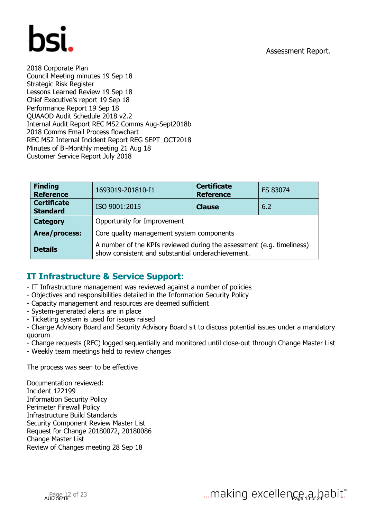

2018 Corporate Plan Council Meeting minutes 19 Sep 18 Strategic Risk Register Lessons Learned Review 19 Sep 18 Chief Executive's report 19 Sep 18 Performance Report 19 Sep 18 QUAAOD Audit Schedule 2018 v2.2 Internal Audit Report REC MS2 Comms Aug-Sept2018b 2018 Comms Email Process flowchart REC MS2 Internal Incident Report REG SEPT\_OCT2018 Minutes of Bi-Monthly meeting 21 Aug 18 Customer Service Report July 2018

| <b>Finding</b><br><b>Reference</b>    | <b>Certificate</b><br>1693019-201810-I1<br>FS 83074<br><b>Reference</b>                                                    |  |  |  |  |  |  |
|---------------------------------------|----------------------------------------------------------------------------------------------------------------------------|--|--|--|--|--|--|
| <b>Certificate</b><br><b>Standard</b> | ISO 9001:2015<br>6.2<br><b>Clause</b>                                                                                      |  |  |  |  |  |  |
| <b>Category</b>                       | Opportunity for Improvement                                                                                                |  |  |  |  |  |  |
| Area/process:                         | Core quality management system components                                                                                  |  |  |  |  |  |  |
| <b>Details</b>                        | A number of the KPIs reviewed during the assessment (e.g. timeliness)<br>show consistent and substantial underachievement. |  |  |  |  |  |  |

#### **IT Infrastructure & Service Support:**

- IT Infrastructure management was reviewed against a number of policies
- Objectives and responsibilities detailed in the Information Security Policy
- Capacity management and resources are deemed sufficient
- System-generated alerts are in place
- Ticketing system is used for issues raised
- Change Advisory Board and Security Advisory Board sit to discuss potential issues under a mandatory quorum
- Change requests (RFC) logged sequentially and monitored until close-out through Change Master List
- Weekly team meetings held to review changes

The process was seen to be effective

Documentation reviewed: Incident 122199 Information Security Policy Perimeter Firewall Policy Infrastructure Build Standards Security Component Review Master List Request for Change 20180072, 20180086 Change Master List Review of Changes meeting 28 Sep 18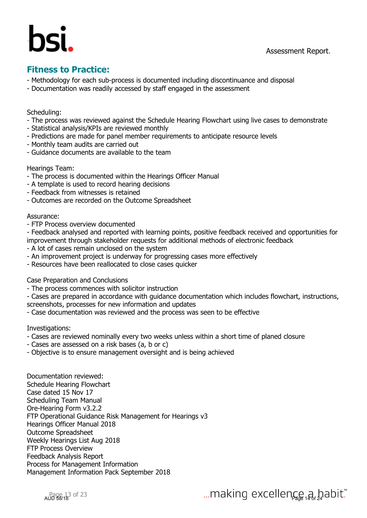### **Fitness to Practice:**

- Methodology for each sub-process is documented including discontinuance and disposal
- Documentation was readily accessed by staff engaged in the assessment

#### Scheduling:

- The process was reviewed against the Schedule Hearing Flowchart using live cases to demonstrate
- Statistical analysis/KPIs are reviewed monthly
- Predictions are made for panel member requirements to anticipate resource levels
- Monthly team audits are carried out
- Guidance documents are available to the team

#### Hearings Team:

- The process is documented within the Hearings Officer Manual
- A template is used to record hearing decisions
- Feedback from witnesses is retained
- Outcomes are recorded on the Outcome Spreadsheet

#### Assurance:

- FTP Process overview documented

- Feedback analysed and reported with learning points, positive feedback received and opportunities for improvement through stakeholder requests for additional methods of electronic feedback

- A lot of cases remain unclosed on the system
- An improvement project is underway for progressing cases more effectively
- Resources have been reallocated to close cases quicker

Case Preparation and Conclusions

- The process commences with solicitor instruction
- Cases are prepared in accordance with guidance documentation which includes flowchart, instructions, screenshots, processes for new information and updates
- Case documentation was reviewed and the process was seen to be effective

Investigations:

- Cases are reviewed nominally every two weeks unless within a short time of planed closure
- Cases are assessed on a risk bases (a, b or c)
- Objective is to ensure management oversight and is being achieved

Documentation reviewed: Schedule Hearing Flowchart Case dated 15 Nov 17 Scheduling Team Manual Ore-Hearing Form v3.2.2 FTP Operational Guidance Risk Management for Hearings v3 Hearings Officer Manual 2018 Outcome Spreadsheet Weekly Hearings List Aug 2018 FTP Process Overview Feedback Analysis Report Process for Management Information Management Information Pack September 2018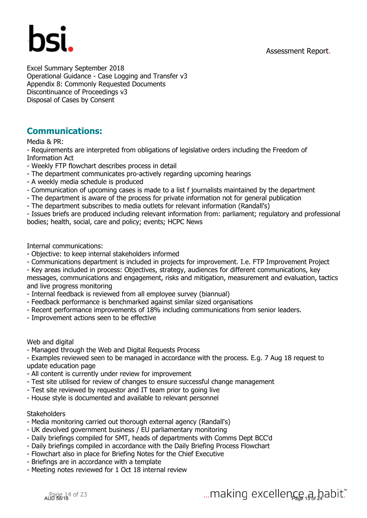

Excel Summary September 2018 Operational Guidance - Case Logging and Transfer v3 Appendix 8: Commonly Requested Documents Discontinuance of Proceedings v3 Disposal of Cases by Consent

#### **Communications:**

Media & PR:

- Requirements are interpreted from obligations of legislative orders including the Freedom of Information Act

- Weekly FTP flowchart describes process in detail

- The department communicates pro-actively regarding upcoming hearings
- A weekly media schedule is produced
- Communication of upcoming cases is made to a list f journalists maintained by the department
- The department is aware of the process for private information not for general publication
- The department subscribes to media outlets for relevant information (Randall's)

- Issues briefs are produced including relevant information from: parliament; regulatory and professional bodies; health, social, care and policy; events; HCPC News

Internal communications:

- Objective: to keep internal stakeholders informed
- Communications department is included in projects for improvement. I.e. FTP Improvement Project
- Key areas included in process: Objectives, strategy, audiences for different communications, key
- messages, communications and engagement, risks and mitigation, measurement and evaluation, tactics and live progress monitoring
- Internal feedback is reviewed from all employee survey (biannual)
- Feedback performance is benchmarked against similar sized organisations
- Recent performance improvements of 18% including communications from senior leaders.
- Improvement actions seen to be effective

Web and digital

- Managed through the Web and Digital Requests Process

- Examples reviewed seen to be managed in accordance with the process. E.g. 7 Aug 18 request to update education page

- All content is currently under review for improvement
- Test site utilised for review of changes to ensure successful change management
- Test site reviewed by requestor and IT team prior to going live
- House style is documented and available to relevant personnel

#### **Stakeholders**

- Media monitoring carried out thorough external agency (Randall's)
- UK devolved government business / EU parliamentary monitoring
- Daily briefings compiled for SMT, heads of departments with Comms Dept BCC'd
- Daily briefings compiled in accordance with the Daily Briefing Process Flowchart
- Flowchart also in place for Briefing Notes for the Chief Executive
- Briefings are in accordance with a template
- Meeting notes reviewed for 1 Oct 18 internal review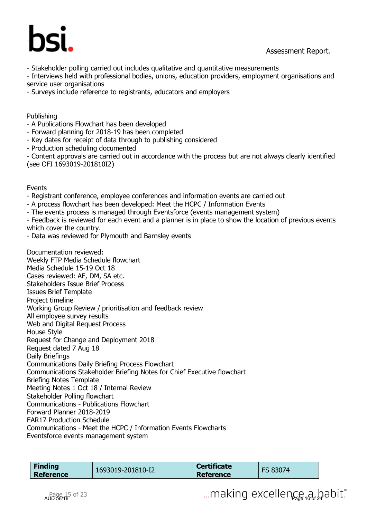

- Stakeholder polling carried out includes qualitative and quantitative measurements

- Interviews held with professional bodies, unions, education providers, employment organisations and service user organisations

- Surveys include reference to registrants, educators and employers

#### Publishing

- A Publications Flowchart has been developed
- Forward planning for 2018-19 has been completed
- Key dates for receipt of data through to publishing considered
- Production scheduling documented

- Content approvals are carried out in accordance with the process but are not always clearly identified (see OFI 1693019-201810I2)

Events

- Registrant conference, employee conferences and information events are carried out
- A process flowchart has been developed: Meet the HCPC / Information Events
- The events process is managed through Eventsforce (events management system)
- Feedback is reviewed for each event and a planner is in place to show the location of previous events which cover the country.
- Data was reviewed for Plymouth and Barnsley events

Documentation reviewed: Weekly FTP Media Schedule flowchart Media Schedule 15-19 Oct 18 Cases reviewed: AF, DM, SA etc. Stakeholders Issue Brief Process Issues Brief Template Project timeline Working Group Review / prioritisation and feedback review All employee survey results Web and Digital Request Process House Style Request for Change and Deployment 2018 Request dated 7 Aug 18 Daily Briefings Communications Daily Briefing Process Flowchart Communications Stakeholder Briefing Notes for Chief Executive flowchart Briefing Notes Template Meeting Notes 1 Oct 18 / Internal Review Stakeholder Polling flowchart Communications - Publications Flowchart Forward Planner 2018-2019 EAR17 Production Schedule Communications - Meet the HCPC / Information Events Flowcharts Eventsforce events management system

|  | Finding<br>Reference | 1693019-201810-I2 | <b>Certificate</b><br><b>Reference</b> | FS 83074 |  |
|--|----------------------|-------------------|----------------------------------------|----------|--|
|--|----------------------|-------------------|----------------------------------------|----------|--|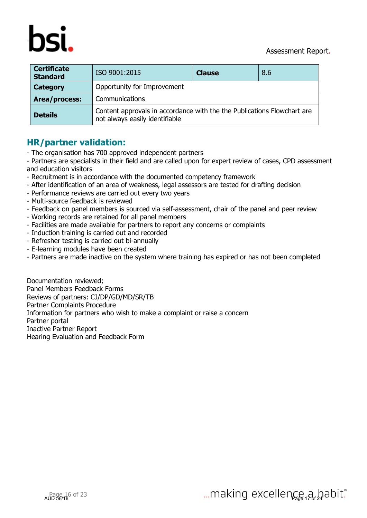



| <b>Certificate</b><br><b>Standard</b> | ISO 9001:2015<br>8.6<br><b>Clause</b>                                                                     |  |  |  |  |  |
|---------------------------------------|-----------------------------------------------------------------------------------------------------------|--|--|--|--|--|
| <b>Category</b>                       | Opportunity for Improvement                                                                               |  |  |  |  |  |
| Area/process:                         | Communications                                                                                            |  |  |  |  |  |
| <b>Details</b>                        | Content approvals in accordance with the the Publications Flowchart are<br>not always easily identifiable |  |  |  |  |  |

#### **HR/partner validation:**

- The organisation has 700 approved independent partners

- Partners are specialists in their field and are called upon for expert review of cases, CPD assessment and education visitors

- Recruitment is in accordance with the documented competency framework
- After identification of an area of weakness, legal assessors are tested for drafting decision
- Performance reviews are carried out every two years
- Multi-source feedback is reviewed
- Feedback on panel members is sourced via self-assessment, chair of the panel and peer review
- Working records are retained for all panel members
- Facilities are made available for partners to report any concerns or complaints
- Induction training is carried out and recorded
- Refresher testing is carried out bi-annually
- E-learning modules have been created
- Partners are made inactive on the system where training has expired or has not been completed

Documentation reviewed; Panel Members Feedback Forms Reviews of partners: CJ/DP/GD/MD/SR/TB Partner Complaints Procedure Information for partners who wish to make a complaint or raise a concern Partner portal Inactive Partner Report Hearing Evaluation and Feedback Form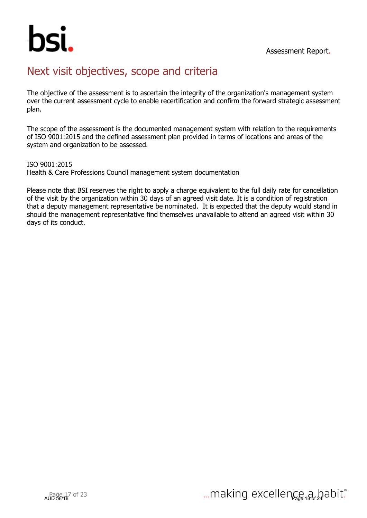

## Next visit objectives, scope and criteria

The objective of the assessment is to ascertain the integrity of the organization's management system over the current assessment cycle to enable recertification and confirm the forward strategic assessment plan.

The scope of the assessment is the documented management system with relation to the requirements of ISO 9001:2015 and the defined assessment plan provided in terms of locations and areas of the system and organization to be assessed.

ISO 9001:2015 Health & Care Professions Council management system documentation

Please note that BSI reserves the right to apply a charge equivalent to the full daily rate for cancellation of the visit by the organization within 30 days of an agreed visit date. It is a condition of registration that a deputy management representative be nominated. It is expected that the deputy would stand in should the management representative find themselves unavailable to attend an agreed visit within 30 days of its conduct.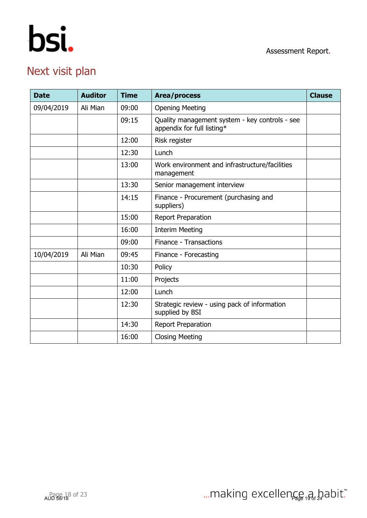

## Next visit plan

| <b>Date</b> | <b>Auditor</b> | <b>Time</b> | Area/process                                                                 | <b>Clause</b> |
|-------------|----------------|-------------|------------------------------------------------------------------------------|---------------|
| 09/04/2019  | Ali Mian       | 09:00       | <b>Opening Meeting</b>                                                       |               |
|             |                | 09:15       | Quality management system - key controls - see<br>appendix for full listing* |               |
|             |                | 12:00       | Risk register                                                                |               |
|             |                | 12:30       | Lunch                                                                        |               |
|             |                | 13:00       | Work environment and infrastructure/facilities<br>management                 |               |
|             |                | 13:30       | Senior management interview                                                  |               |
|             |                | 14:15       | Finance - Procurement (purchasing and<br>suppliers)                          |               |
|             |                | 15:00       | Report Preparation                                                           |               |
|             |                | 16:00       | <b>Interim Meeting</b>                                                       |               |
|             |                | 09:00       | Finance - Transactions                                                       |               |
| 10/04/2019  | Ali Mian       | 09:45       | Finance - Forecasting                                                        |               |
|             |                | 10:30       | Policy                                                                       |               |
|             |                | 11:00       | Projects                                                                     |               |
|             |                | 12:00       | Lunch                                                                        |               |
|             |                | 12:30       | Strategic review - using pack of information<br>supplied by BSI              |               |
|             |                | 14:30       | Report Preparation                                                           |               |
|             |                | 16:00       | <b>Closing Meeting</b>                                                       |               |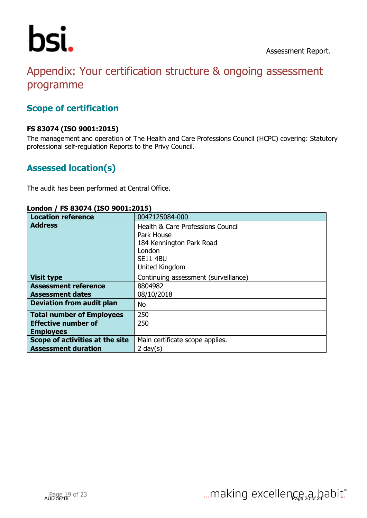

## Appendix: Your certification structure & ongoing assessment programme

#### **Scope of certification**

#### **FS 83074 (ISO 9001:2015)**

The management and operation of The Health and Care Professions Council (HCPC) covering: Statutory professional self-regulation Reports to the Privy Council.

#### **Assessed location(s)**

The audit has been performed at Central Office.

| LUINUII / IU UJU/T (190 JUU112019 / |                                                                                                                                       |
|-------------------------------------|---------------------------------------------------------------------------------------------------------------------------------------|
| <b>Location reference</b>           | 0047125084-000                                                                                                                        |
| <b>Address</b>                      | <b>Health &amp; Care Professions Council</b><br>Park House<br>184 Kennington Park Road<br>London<br><b>SE11 4BU</b><br>United Kingdom |
| <b>Visit type</b>                   | Continuing assessment (surveillance)                                                                                                  |
| <b>Assessment reference</b>         | 8804982                                                                                                                               |
| <b>Assessment dates</b>             | 08/10/2018                                                                                                                            |
| <b>Deviation from audit plan</b>    | No                                                                                                                                    |
| <b>Total number of Employees</b>    | 250                                                                                                                                   |
| <b>Effective number of</b>          | 250                                                                                                                                   |
| <b>Employees</b>                    |                                                                                                                                       |
| Scope of activities at the site     | Main certificate scope applies.                                                                                                       |
| <b>Assessment duration</b>          | 2 day $(s)$                                                                                                                           |

#### **London / FS 83074 (ISO 9001:2015)**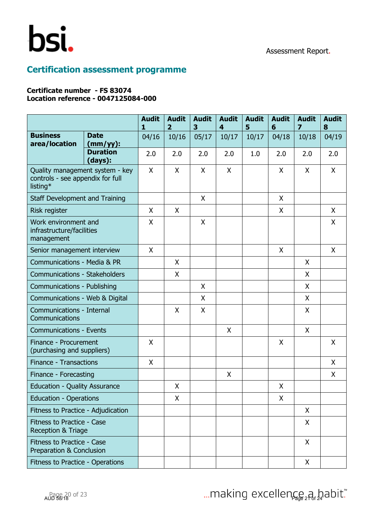

### **Certification assessment programme**

#### **Certificate number - FS 83074 Location reference - 0047125084-000**

|                                                                                 |                            | <b>Audit</b><br>1 | <b>Audit</b><br>$\overline{2}$ | <b>Audit</b><br>3 | <b>Audit</b><br>4 | <b>Audit</b><br>5 | <b>Audit</b><br>6 | <b>Audit</b><br>7 | <b>Audit</b><br>8 |
|---------------------------------------------------------------------------------|----------------------------|-------------------|--------------------------------|-------------------|-------------------|-------------------|-------------------|-------------------|-------------------|
| <b>Business</b><br>area/location                                                | <b>Date</b><br>$(mm/yy)$ : | 04/16             | 10/16                          | 05/17             | 10/17             | 10/17             | 04/18             | 10/18             | 04/19             |
|                                                                                 | <b>Duration</b><br>(days): | 2.0               | 2.0                            | 2.0               | 2.0               | 1.0               | 2.0               | 2.0               | 2.0               |
| Quality management system - key<br>controls - see appendix for full<br>listing* |                            | X                 | X                              | X                 | X                 |                   | X                 | X                 | X                 |
| Staff Development and Training                                                  |                            |                   |                                | X                 |                   |                   | X                 |                   |                   |
| Risk register                                                                   |                            | X                 | X                              |                   |                   |                   | X                 |                   | X                 |
| Work environment and<br>infrastructure/facilities<br>management                 |                            | X                 |                                | X                 |                   |                   |                   |                   | X                 |
| Senior management interview                                                     |                            | $\mathsf{X}$      |                                |                   |                   |                   | X                 |                   | X                 |
| Communications - Media & PR                                                     |                            |                   | X                              |                   |                   |                   |                   | X                 |                   |
| Communications - Stakeholders                                                   |                            |                   | X                              |                   |                   |                   |                   | X                 |                   |
| Communications - Publishing                                                     |                            |                   |                                | X                 |                   |                   |                   | X                 |                   |
| Communications - Web & Digital                                                  |                            |                   |                                | X                 |                   |                   |                   | X                 |                   |
| Communications - Internal<br>Communications                                     |                            |                   | X                              | X                 |                   |                   |                   | X                 |                   |
| <b>Communications - Events</b>                                                  |                            |                   |                                |                   | X                 |                   |                   | X                 |                   |
| Finance - Procurement<br>(purchasing and suppliers)                             |                            | $\mathsf{X}$      |                                |                   |                   |                   | $\mathsf{X}$      |                   | X                 |
| Finance - Transactions                                                          |                            | X                 |                                |                   |                   |                   |                   |                   | X                 |
| Finance - Forecasting                                                           |                            |                   |                                |                   | X                 |                   |                   |                   | X                 |
| <b>Education - Quality Assurance</b>                                            |                            |                   | X                              |                   |                   |                   | X                 |                   |                   |
| <b>Education - Operations</b>                                                   |                            |                   | X                              |                   |                   |                   | X                 |                   |                   |
| Fitness to Practice - Adjudication                                              |                            |                   |                                |                   |                   |                   |                   | X                 |                   |
| Fitness to Practice - Case<br>Reception & Triage                                |                            |                   |                                |                   |                   |                   |                   | X                 |                   |
| Fitness to Practice - Case<br>Preparation & Conclusion                          |                            |                   |                                |                   |                   |                   |                   | X                 |                   |
| Fitness to Practice - Operations                                                |                            |                   |                                |                   |                   |                   |                   | X                 |                   |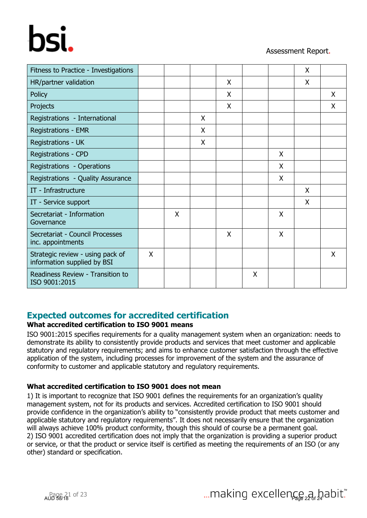# hsi.

#### Assessment Report.

| Fitness to Practice - Investigations                            |   |   |   |   |   |   | X |   |
|-----------------------------------------------------------------|---|---|---|---|---|---|---|---|
| HR/partner validation                                           |   |   |   | X |   |   | X |   |
| <b>Policy</b>                                                   |   |   |   | X |   |   |   | X |
| Projects                                                        |   |   |   | X |   |   |   | X |
| Registrations - International                                   |   |   | X |   |   |   |   |   |
| <b>Registrations - EMR</b>                                      |   |   | X |   |   |   |   |   |
| Registrations - UK                                              |   |   | X |   |   |   |   |   |
| <b>Registrations - CPD</b>                                      |   |   |   |   |   | X |   |   |
| Registrations - Operations                                      |   |   |   |   |   | X |   |   |
| Registrations - Quality Assurance                               |   |   |   |   |   | X |   |   |
| IT - Infrastructure                                             |   |   |   |   |   |   | X |   |
| IT - Service support                                            |   |   |   |   |   |   | X |   |
| Secretariat - Information<br>Governance                         |   | X |   |   |   | X |   |   |
| Secretariat - Council Processes<br>inc. appointments            |   |   |   | X |   | X |   |   |
| Strategic review - using pack of<br>information supplied by BSI | X |   |   |   |   |   |   | X |
| Readiness Review - Transition to<br>ISO 9001:2015               |   |   |   |   | X |   |   |   |

#### **Expected outcomes for accredited certification**

#### **What accredited certification to ISO 9001 means**

ISO 9001:2015 specifies requirements for a quality management system when an organization: needs to demonstrate its ability to consistently provide products and services that meet customer and applicable statutory and regulatory requirements; and aims to enhance customer satisfaction through the effective application of the system, including processes for improvement of the system and the assurance of conformity to customer and applicable statutory and regulatory requirements.

#### **What accredited certification to ISO 9001 does not mean**

1) It is important to recognize that ISO 9001 defines the requirements for an organization's quality management system, not for its products and services. Accredited certification to ISO 9001 should provide confidence in the organization's ability to "consistently provide product that meets customer and applicable statutory and regulatory requirements". It does not necessarily ensure that the organization will always achieve 100% product conformity, though this should of course be a permanent goal. 2) ISO 9001 accredited certification does not imply that the organization is providing a superior product or service, or that the product or service itself is certified as meeting the requirements of an ISO (or any other) standard or specification.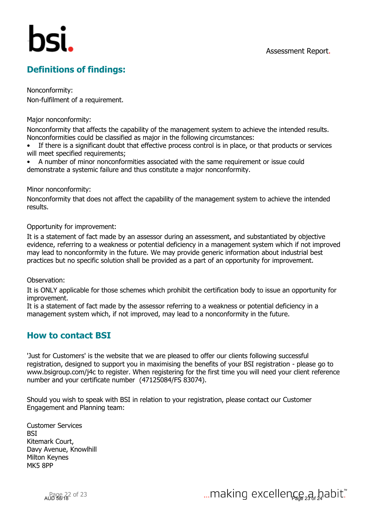### **Definitions of findings:**

Nonconformity: Non-fulfilment of a requirement.

Major nonconformity:

Nonconformity that affects the capability of the management system to achieve the intended results. Nonconformities could be classified as major in the following circumstances:

• If there is a significant doubt that effective process control is in place, or that products or services will meet specified requirements;

• A number of minor nonconformities associated with the same requirement or issue could demonstrate a systemic failure and thus constitute a major nonconformity.

Minor nonconformity:

Nonconformity that does not affect the capability of the management system to achieve the intended results.

Opportunity for improvement:

It is a statement of fact made by an assessor during an assessment, and substantiated by objective evidence, referring to a weakness or potential deficiency in a management system which if not improved may lead to nonconformity in the future. We may provide generic information about industrial best practices but no specific solution shall be provided as a part of an opportunity for improvement.

Observation:

It is ONLY applicable for those schemes which prohibit the certification body to issue an opportunity for improvement.

It is a statement of fact made by the assessor referring to a weakness or potential deficiency in a management system which, if not improved, may lead to a nonconformity in the future.

#### **How to contact BSI**

'Just for Customers' is the website that we are pleased to offer our clients following successful registration, designed to support you in maximising the benefits of your BSI registration - please go to www.bsigroup.com/j4c to register. When registering for the first time you will need your client reference number and your certificate number (47125084/FS 83074).

Should you wish to speak with BSI in relation to your registration, please contact our Customer Engagement and Planning team:

Customer Services **BSI** Kitemark Court, Davy Avenue, Knowlhill Milton Keynes MK5 8PP